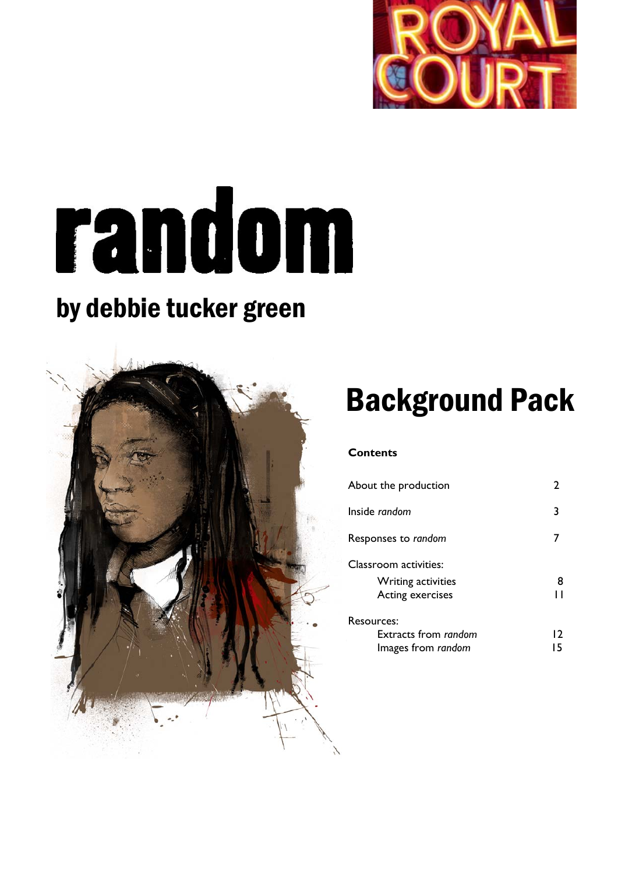

# random

# by debbie tucker green



# Background Pack

# **Contents**

| About the production      |    |
|---------------------------|----|
| Inside random             |    |
| Responses to random       |    |
| Classroom activities:     |    |
| <b>Writing activities</b> | 8  |
| Acting exercises          |    |
| Resources:                |    |
| Extracts from random      | 12 |
| Images from random        |    |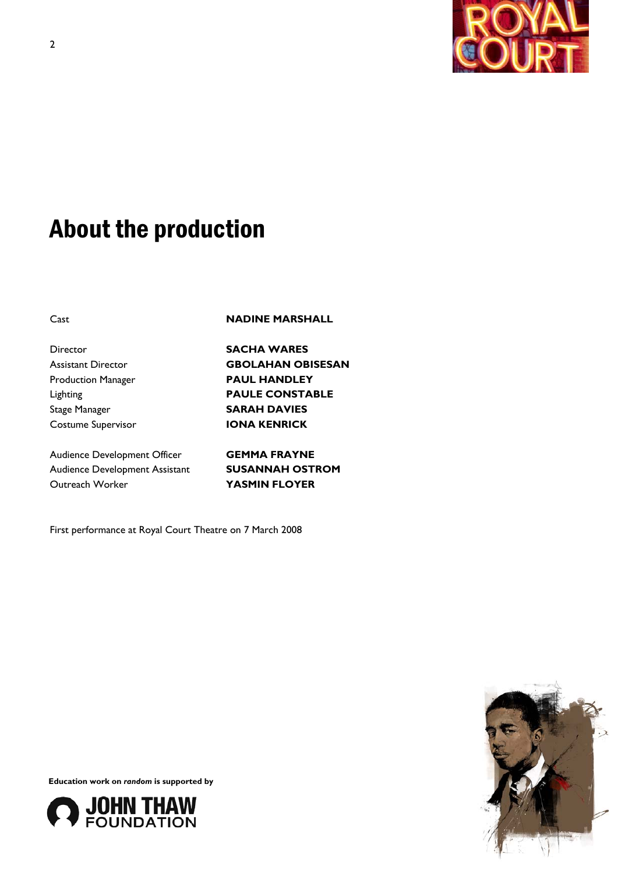

# About the production

Cast **NADINE MARSHALL**

Director **SACHA WARES**  Assistant Director **GBOLAHAN OBISESAN**  Production Manager **PAUL HANDLEY**  Stage Manager **SARAH DAVIES**  Costume Supervisor **IONA KENRICK** 

Audience Development Officer **GEMMA FRAYNE**  Audience Development Assistant **SUSANNAH OSTROM**  Outreach Worker **YASMIN FLOYER** 

Lighting **PAULE CONSTABLE** 

First performance at Royal Court Theatre on 7 March 2008



**Education work on** *random* **is supported by** 

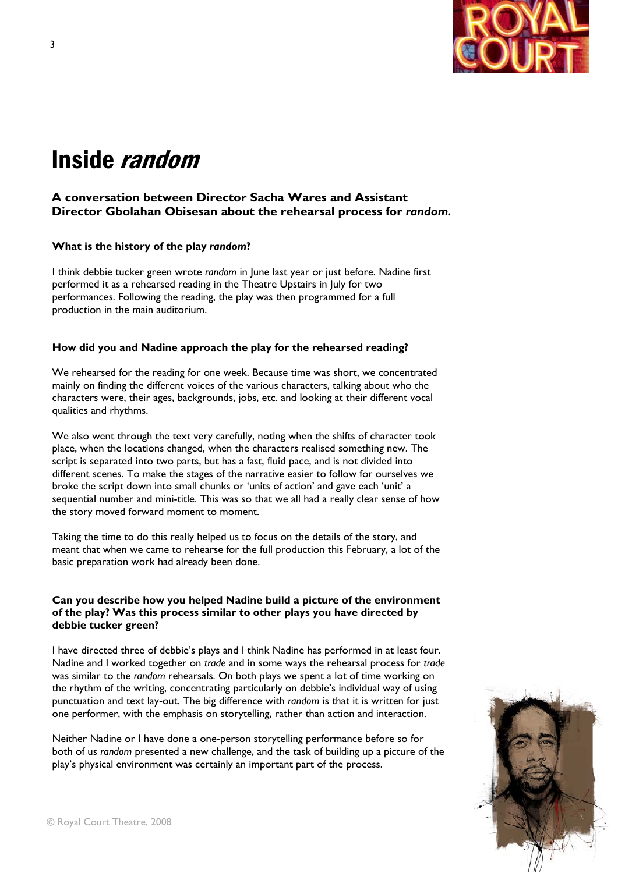

# Inside random

# **A conversation between Director Sacha Wares and Assistant Director Gbolahan Obisesan about the rehearsal process for** *random.*

### **What is the history of the play** *random***?**

I think debbie tucker green wrote *random* in June last year or just before. Nadine first performed it as a rehearsed reading in the Theatre Upstairs in July for two performances. Following the reading, the play was then programmed for a full production in the main auditorium.

### **How did you and Nadine approach the play for the rehearsed reading?**

We rehearsed for the reading for one week. Because time was short, we concentrated mainly on finding the different voices of the various characters, talking about who the characters were, their ages, backgrounds, jobs, etc. and looking at their different vocal qualities and rhythms.

We also went through the text very carefully, noting when the shifts of character took place, when the locations changed, when the characters realised something new. The script is separated into two parts, but has a fast, fluid pace, and is not divided into different scenes. To make the stages of the narrative easier to follow for ourselves we broke the script down into small chunks or 'units of action' and gave each 'unit' a sequential number and mini-title. This was so that we all had a really clear sense of how the story moved forward moment to moment.

Taking the time to do this really helped us to focus on the details of the story, and meant that when we came to rehearse for the full production this February, a lot of the basic preparation work had already been done.

# **Can you describe how you helped Nadine build a picture of the environment of the play? Was this process similar to other plays you have directed by debbie tucker green?**

I have directed three of debbie's plays and I think Nadine has performed in at least four. Nadine and I worked together on *trade* and in some ways the rehearsal process for *trade*  was similar to the *random* rehearsals. On both plays we spent a lot of time working on the rhythm of the writing, concentrating particularly on debbie's individual way of using punctuation and text lay-out. The big difference with *random* is that it is written for just one performer, with the emphasis on storytelling, rather than action and interaction.

Neither Nadine or I have done a one-person storytelling performance before so for both of us *random* presented a new challenge, and the task of building up a picture of the play's physical environment was certainly an important part of the process.

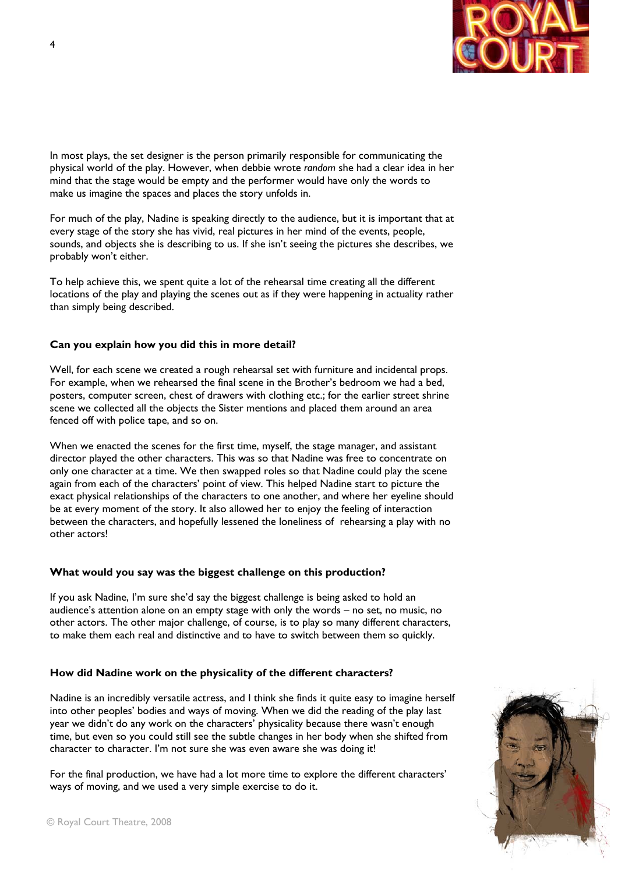

In most plays, the set designer is the person primarily responsible for communicating the physical world of the play. However, when debbie wrote *random* she had a clear idea in her mind that the stage would be empty and the performer would have only the words to make us imagine the spaces and places the story unfolds in.

For much of the play, Nadine is speaking directly to the audience, but it is important that at every stage of the story she has vivid, real pictures in her mind of the events, people, sounds, and objects she is describing to us. If she isn't seeing the pictures she describes, we probably won't either.

To help achieve this, we spent quite a lot of the rehearsal time creating all the different locations of the play and playing the scenes out as if they were happening in actuality rather than simply being described.

### **Can you explain how you did this in more detail?**

Well, for each scene we created a rough rehearsal set with furniture and incidental props. For example, when we rehearsed the final scene in the Brother's bedroom we had a bed, posters, computer screen, chest of drawers with clothing etc.; for the earlier street shrine scene we collected all the objects the Sister mentions and placed them around an area fenced off with police tape, and so on.

When we enacted the scenes for the first time, myself, the stage manager, and assistant director played the other characters. This was so that Nadine was free to concentrate on only one character at a time. We then swapped roles so that Nadine could play the scene again from each of the characters' point of view. This helped Nadine start to picture the exact physical relationships of the characters to one another, and where her eyeline should be at every moment of the story. It also allowed her to enjoy the feeling of interaction between the characters, and hopefully lessened the loneliness of rehearsing a play with no other actors!

### **What would you say was the biggest challenge on this production?**

If you ask Nadine, I'm sure she'd say the biggest challenge is being asked to hold an audience's attention alone on an empty stage with only the words – no set, no music, no other actors. The other major challenge, of course, is to play so many different characters, to make them each real and distinctive and to have to switch between them so quickly.

# **How did Nadine work on the physicality of the different characters?**

Nadine is an incredibly versatile actress, and I think she finds it quite easy to imagine herself into other peoples' bodies and ways of moving. When we did the reading of the play last year we didn't do any work on the characters' physicality because there wasn't enough time, but even so you could still see the subtle changes in her body when she shifted from character to character. I'm not sure she was even aware she was doing it!

For the final production, we have had a lot more time to explore the different characters' ways of moving, and we used a very simple exercise to do it.

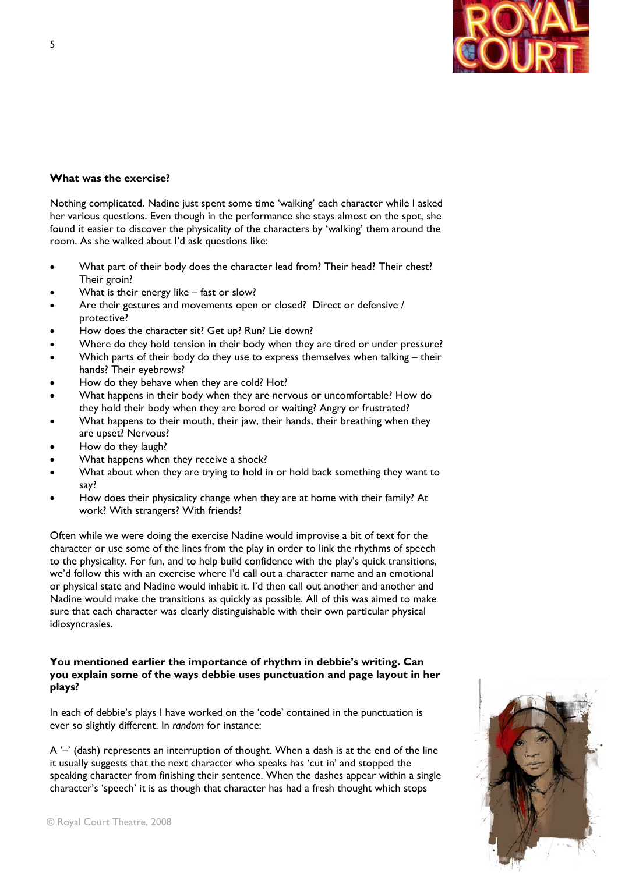

# **What was the exercise?**

Nothing complicated. Nadine just spent some time 'walking' each character while I asked her various questions. Even though in the performance she stays almost on the spot, she found it easier to discover the physicality of the characters by 'walking' them around the room. As she walked about I'd ask questions like:

- What part of their body does the character lead from? Their head? Their chest? Their groin?
- What is their energy like fast or slow?
- Are their gestures and movements open or closed? Direct or defensive / protective?
- How does the character sit? Get up? Run? Lie down?
- Where do they hold tension in their body when they are tired or under pressure?
- Which parts of their body do they use to express themselves when talking their hands? Their eyebrows?
- How do they behave when they are cold? Hot?
- What happens in their body when they are nervous or uncomfortable? How do they hold their body when they are bored or waiting? Angry or frustrated?
- What happens to their mouth, their jaw, their hands, their breathing when they are upset? Nervous?
- How do they laugh?
- What happens when they receive a shock?
- What about when they are trying to hold in or hold back something they want to say?
- How does their physicality change when they are at home with their family? At work? With strangers? With friends?

Often while we were doing the exercise Nadine would improvise a bit of text for the character or use some of the lines from the play in order to link the rhythms of speech to the physicality. For fun, and to help build confidence with the play's quick transitions, we'd follow this with an exercise where I'd call out a character name and an emotional or physical state and Nadine would inhabit it. I'd then call out another and another and Nadine would make the transitions as quickly as possible. All of this was aimed to make sure that each character was clearly distinguishable with their own particular physical idiosyncrasies.

# **You mentioned earlier the importance of rhythm in debbie's writing. Can you explain some of the ways debbie uses punctuation and page layout in her plays?**

In each of debbie's plays I have worked on the 'code' contained in the punctuation is ever so slightly different. In *random* for instance:

 $A'$ –' (dash) represents an interruption of thought. When a dash is at the end of the line it usually suggests that the next character who speaks has 'cut in' and stopped the speaking character from finishing their sentence. When the dashes appear within a single character's 'speech' it is as though that character has had a fresh thought which stops



5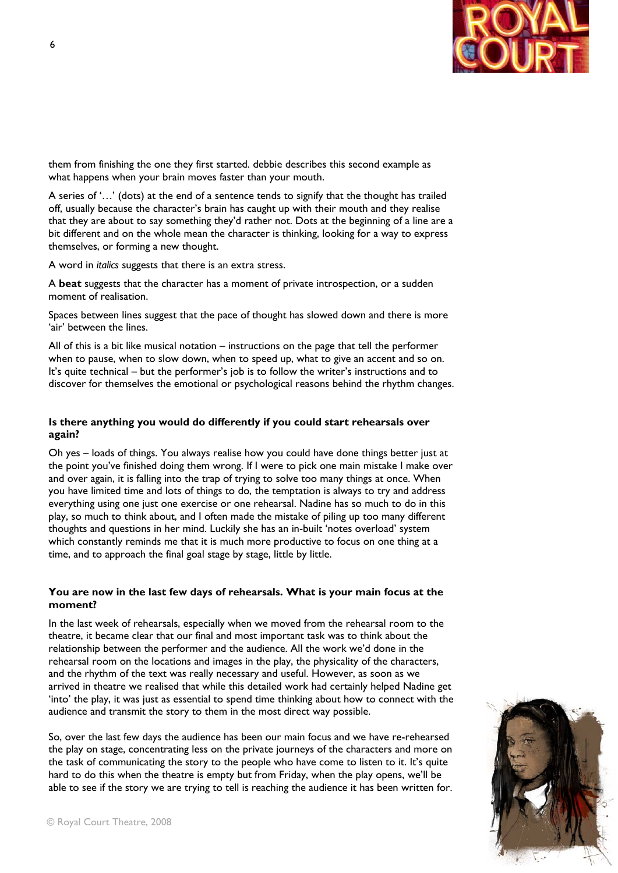

them from finishing the one they first started. debbie describes this second example as what happens when your brain moves faster than your mouth.

A series of '…' (dots) at the end of a sentence tends to signify that the thought has trailed off, usually because the character's brain has caught up with their mouth and they realise that they are about to say something they'd rather not. Dots at the beginning of a line are a bit different and on the whole mean the character is thinking, looking for a way to express themselves, or forming a new thought.

A word in *italics* suggests that there is an extra stress.

A **beat** suggests that the character has a moment of private introspection, or a sudden moment of realisation.

Spaces between lines suggest that the pace of thought has slowed down and there is more 'air' between the lines.

All of this is a bit like musical notation – instructions on the page that tell the performer when to pause, when to slow down, when to speed up, what to give an accent and so on. It's quite technical – but the performer's job is to follow the writer's instructions and to discover for themselves the emotional or psychological reasons behind the rhythm changes.

# **Is there anything you would do differently if you could start rehearsals over again?**

Oh yes – loads of things. You always realise how you could have done things better just at the point you've finished doing them wrong. If I were to pick one main mistake I make over and over again, it is falling into the trap of trying to solve too many things at once. When you have limited time and lots of things to do, the temptation is always to try and address everything using one just one exercise or one rehearsal. Nadine has so much to do in this play, so much to think about, and I often made the mistake of piling up too many different thoughts and questions in her mind. Luckily she has an in-built 'notes overload' system which constantly reminds me that it is much more productive to focus on one thing at a time, and to approach the final goal stage by stage, little by little.

### **You are now in the last few days of rehearsals. What is your main focus at the moment?**

In the last week of rehearsals, especially when we moved from the rehearsal room to the theatre, it became clear that our final and most important task was to think about the relationship between the performer and the audience. All the work we'd done in the rehearsal room on the locations and images in the play, the physicality of the characters, and the rhythm of the text was really necessary and useful. However, as soon as we arrived in theatre we realised that while this detailed work had certainly helped Nadine get 'into' the play, it was just as essential to spend time thinking about how to connect with the audience and transmit the story to them in the most direct way possible.

So, over the last few days the audience has been our main focus and we have re-rehearsed the play on stage, concentrating less on the private journeys of the characters and more on the task of communicating the story to the people who have come to listen to it. It's quite hard to do this when the theatre is empty but from Friday, when the play opens, we'll be able to see if the story we are trying to tell is reaching the audience it has been written for.



© Royal Court Theatre, 2008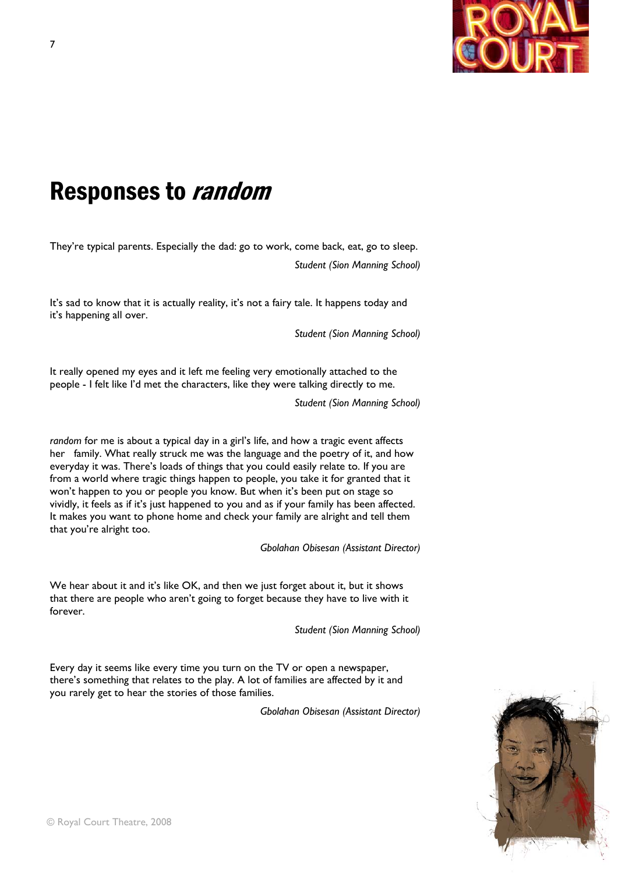

# Responses to random

They're typical parents. Especially the dad: go to work, come back, eat, go to sleep. *Student (Sion Manning School)* 

It's sad to know that it is actually reality, it's not a fairy tale. It happens today and it's happening all over.

*Student (Sion Manning School)* 

It really opened my eyes and it left me feeling very emotionally attached to the people - I felt like I'd met the characters, like they were talking directly to me.

*Student (Sion Manning School)* 

*random* for me is about a typical day in a girl's life, and how a tragic event affects her family. What really struck me was the language and the poetry of it, and how everyday it was. There's loads of things that you could easily relate to. If you are from a world where tragic things happen to people, you take it for granted that it won't happen to you or people you know. But when it's been put on stage so vividly, it feels as if it's just happened to you and as if your family has been affected. It makes you want to phone home and check your family are alright and tell them that you're alright too.

*Gbolahan Obisesan (Assistant Director)* 

We hear about it and it's like OK, and then we just forget about it, but it shows that there are people who aren't going to forget because they have to live with it forever.

*Student (Sion Manning School)* 

Every day it seems like every time you turn on the TV or open a newspaper, there's something that relates to the play. A lot of families are affected by it and you rarely get to hear the stories of those families.

*Gbolahan Obisesan (Assistant Director)* 

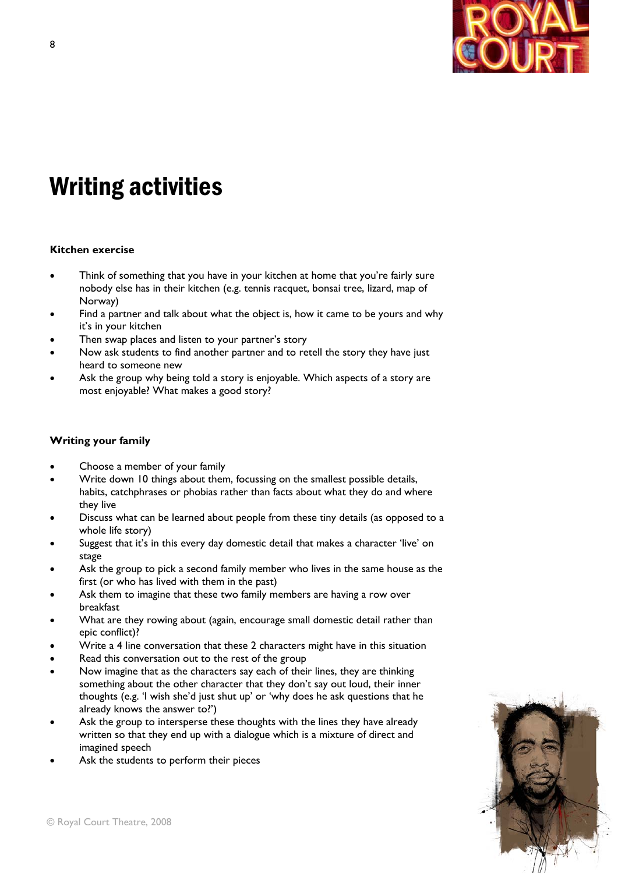

# Writing activities

# **Kitchen exercise**

- Think of something that you have in your kitchen at home that you're fairly sure nobody else has in their kitchen (e.g. tennis racquet, bonsai tree, lizard, map of Norway)
- Find a partner and talk about what the object is, how it came to be yours and why it's in your kitchen
- Then swap places and listen to your partner's story
- Now ask students to find another partner and to retell the story they have just heard to someone new
- Ask the group why being told a story is enjoyable. Which aspects of a story are most enjoyable? What makes a good story?

# **Writing your family**

- Choose a member of your family
- Write down 10 things about them, focussing on the smallest possible details, habits, catchphrases or phobias rather than facts about what they do and where they live
- Discuss what can be learned about people from these tiny details (as opposed to a whole life story)
- Suggest that it's in this every day domestic detail that makes a character 'live' on stage
- Ask the group to pick a second family member who lives in the same house as the first (or who has lived with them in the past)
- Ask them to imagine that these two family members are having a row over breakfast
- What are they rowing about (again, encourage small domestic detail rather than epic conflict)?
- Write a 4 line conversation that these 2 characters might have in this situation
- Read this conversation out to the rest of the group
- Now imagine that as the characters say each of their lines, they are thinking something about the other character that they don't say out loud, their inner thoughts (e.g. 'I wish she'd just shut up' or 'why does he ask questions that he already knows the answer to?')
- Ask the group to intersperse these thoughts with the lines they have already written so that they end up with a dialogue which is a mixture of direct and imagined speech
- Ask the students to perform their pieces

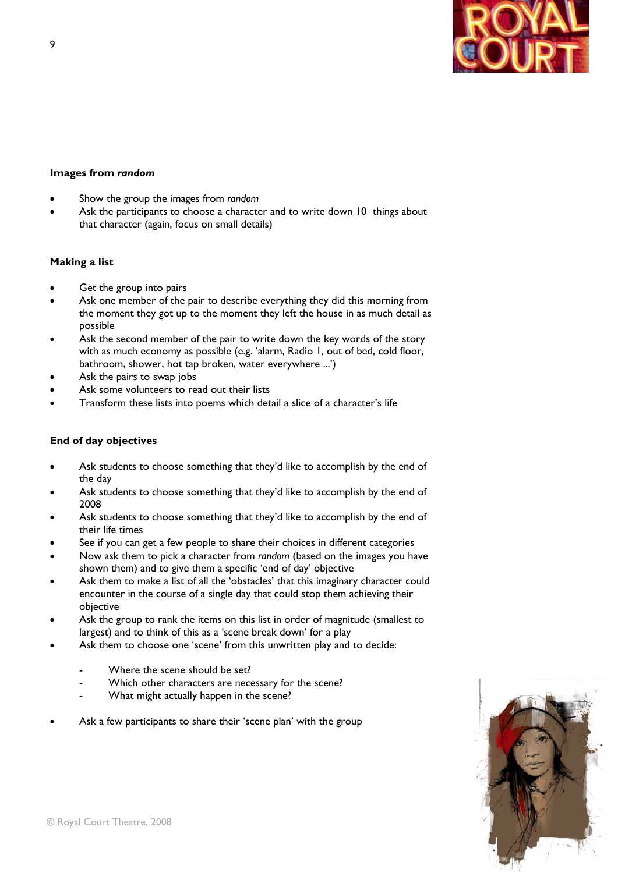

### **Images from** *random*

- Show the group the images from *random*
- Ask the participants to choose a character and to write down 10 things about that character (again, focus on small details)

### **Making a list**

- Get the group into pairs
- Ask one member of the pair to describe everything they did this morning from the moment they got up to the moment they left the house in as much detail as possible
- Ask the second member of the pair to write down the key words of the story with as much economy as possible (e.g. 'alarm, Radio 1, out of bed, cold floor, bathroom, shower, hot tap broken, water everywhere ...')
- Ask the pairs to swap jobs
- Ask some volunteers to read out their lists
- Transform these lists into poems which detail a slice of a character's life

### **End of day objectives**

- Ask students to choose something that they'd like to accomplish by the end of the day
- Ask students to choose something that they'd like to accomplish by the end of 2008
- Ask students to choose something that they'd like to accomplish by the end of their life times
- See if you can get a few people to share their choices in different categories
- Now ask them to pick a character from *random* (based on the images you have shown them) and to give them a specific 'end of day' objective
- Ask them to make a list of all the 'obstacles' that this imaginary character could encounter in the course of a single day that could stop them achieving their objective
- Ask the group to rank the items on this list in order of magnitude (smallest to largest) and to think of this as a 'scene break down' for a play
- Ask them to choose one 'scene' from this unwritten play and to decide:
	- Where the scene should be set?
	- Which other characters are necessary for the scene?
	- What might actually happen in the scene?
- Ask a few participants to share their 'scene plan' with the group

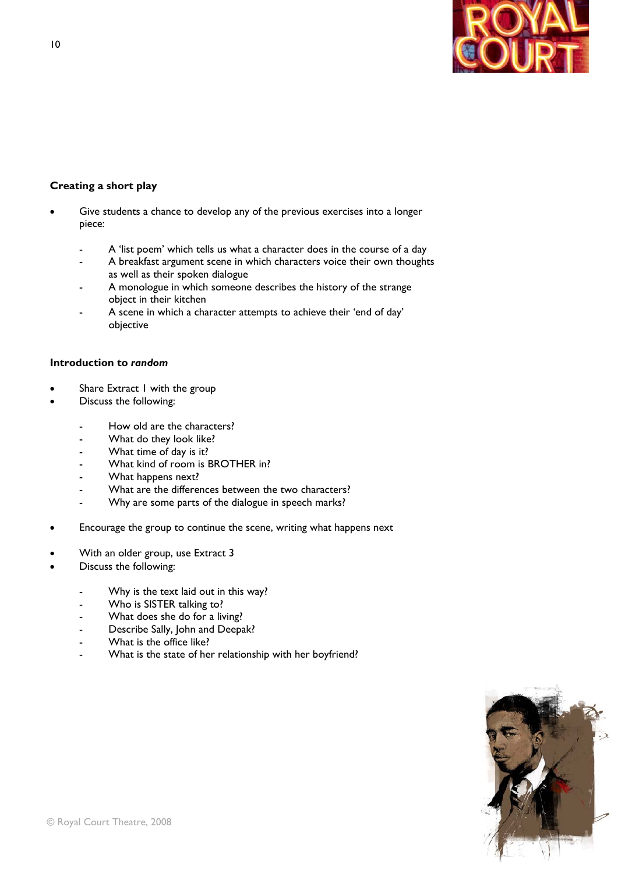

# **Creating a short play**

- Give students a chance to develop any of the previous exercises into a longer piece:
	- A 'list poem' which tells us what a character does in the course of a day
	- A breakfast argument scene in which characters voice their own thoughts as well as their spoken dialogue
	- A monologue in which someone describes the history of the strange object in their kitchen
	- A scene in which a character attempts to achieve their 'end of day' objective

### **Introduction to** *random*

- Share Extract I with the group
- Discuss the following:
	- How old are the characters?
	- What do they look like?
	- What time of day is it?
	- What kind of room is BROTHER in?
	- What happens next?
	- What are the differences between the two characters?
	- Why are some parts of the dialogue in speech marks?
- Encourage the group to continue the scene, writing what happens next
- With an older group, use Extract 3
- Discuss the following:
	- Why is the text laid out in this way?
	- Who is SISTER talking to?
	- What does she do for a living?
	- Describe Sally, John and Deepak?
	- What is the office like?
	- What is the state of her relationship with her boyfriend?

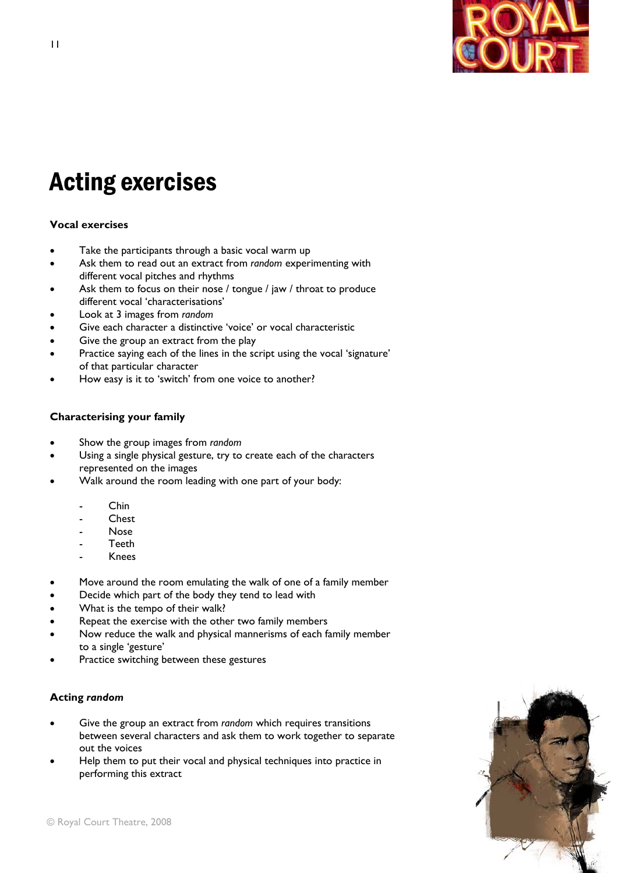

# Acting exercises

# **Vocal exercises**

- Take the participants through a basic vocal warm up
- Ask them to read out an extract from *random* experimenting with different vocal pitches and rhythms
- Ask them to focus on their nose / tongue / jaw / throat to produce different vocal 'characterisations'
- Look at 3 images from *random*
- Give each character a distinctive 'voice' or vocal characteristic
- Give the group an extract from the play
- Practice saying each of the lines in the script using the vocal 'signature' of that particular character
- How easy is it to 'switch' from one voice to another?

# **Characterising your family**

- Show the group images from *random*
- Using a single physical gesture, try to create each of the characters represented on the images
- Walk around the room leading with one part of your body:
	- Chin
	- Chest<sub></sub>
	- Nose
	- **Teeth**
	- Knees
- Move around the room emulating the walk of one of a family member
- Decide which part of the body they tend to lead with
- What is the tempo of their walk?
- Repeat the exercise with the other two family members
- Now reduce the walk and physical mannerisms of each family member to a single 'gesture'
- Practice switching between these gestures

# **Acting** *random*

- Give the group an extract from *random* which requires transitions between several characters and ask them to work together to separate out the voices
- Help them to put their vocal and physical techniques into practice in performing this extract

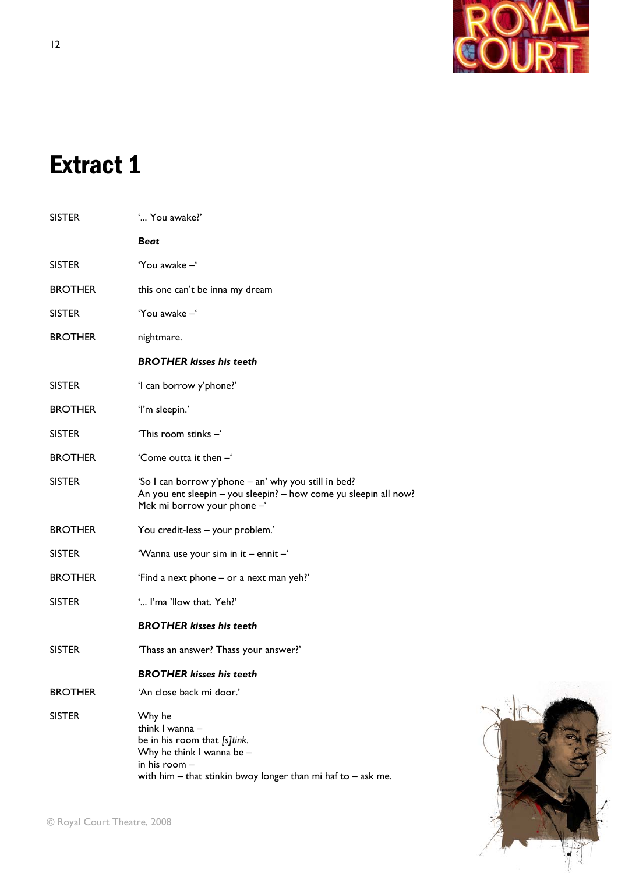

# Extract 1

| <b>SISTER</b>  | ' You awake?'                                                                                                                                                               |
|----------------|-----------------------------------------------------------------------------------------------------------------------------------------------------------------------------|
|                | <b>Beat</b>                                                                                                                                                                 |
| <b>SISTER</b>  | 'You awake -'                                                                                                                                                               |
| <b>BROTHER</b> | this one can't be inna my dream                                                                                                                                             |
| <b>SISTER</b>  | 'You awake -'                                                                                                                                                               |
| <b>BROTHER</b> | nightmare.                                                                                                                                                                  |
|                | <b>BROTHER kisses his teeth</b>                                                                                                                                             |
| <b>SISTER</b>  | 'I can borrow y'phone?'                                                                                                                                                     |
| <b>BROTHER</b> | 'I'm sleepin.'                                                                                                                                                              |
| <b>SISTER</b>  | 'This room stinks -'                                                                                                                                                        |
| <b>BROTHER</b> | 'Come outta it then -'                                                                                                                                                      |
| <b>SISTER</b>  | 'So I can borrow y'phone – an' why you still in bed?<br>An you ent sleepin - you sleepin? - how come yu sleepin all now?<br>Mek mi borrow your phone -                      |
| <b>BROTHER</b> | You credit-less - your problem.'                                                                                                                                            |
| <b>SISTER</b>  | 'Wanna use your sim in it - ennit -'                                                                                                                                        |
| <b>BROTHER</b> | 'Find a next phone – or a next man yeh?'                                                                                                                                    |
| <b>SISTER</b>  | ' I'ma 'llow that. Yeh?'                                                                                                                                                    |
|                | <b>BROTHER kisses his teeth</b>                                                                                                                                             |
| <b>SISTER</b>  | 'Thass an answer? Thass your answer?'                                                                                                                                       |
|                | <b>BROTHER kisses his teeth</b>                                                                                                                                             |
| <b>BROTHER</b> | 'An close back mi door.'                                                                                                                                                    |
| <b>SISTER</b>  | Why he<br>think I wanna -<br>be in his room that [s]tink.<br>Why he think I wanna be -<br>in his room -<br>with him $-$ that stinkin bwoy longer than mi haf to $-$ ask me. |

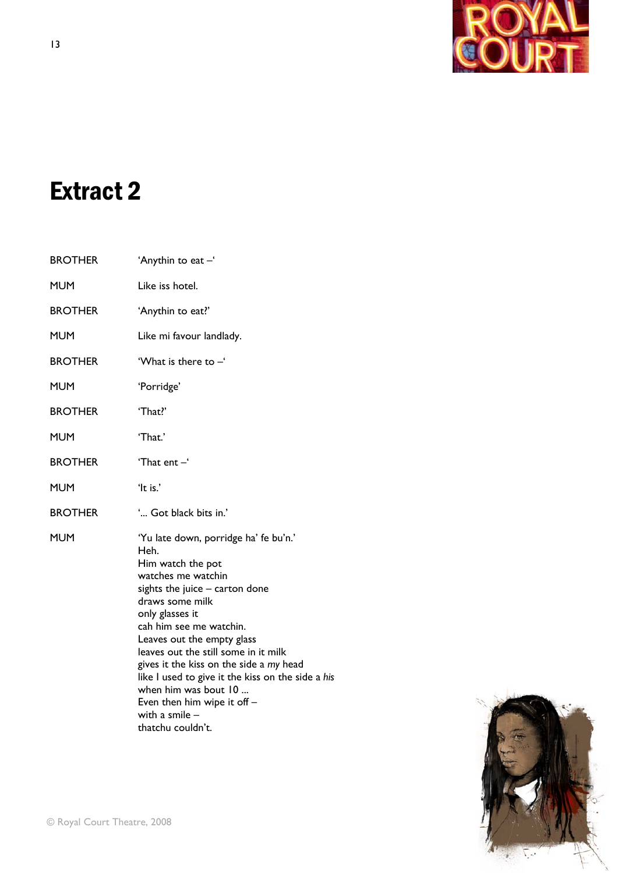

# Extract 2

| <b>BROTHER</b> | 'Anythin to eat -'                                                                                                                                                                                                                                                                                                                                                                                                                                                  |
|----------------|---------------------------------------------------------------------------------------------------------------------------------------------------------------------------------------------------------------------------------------------------------------------------------------------------------------------------------------------------------------------------------------------------------------------------------------------------------------------|
| <b>MUM</b>     | Like iss hotel.                                                                                                                                                                                                                                                                                                                                                                                                                                                     |
| <b>BROTHER</b> | 'Anythin to eat?'                                                                                                                                                                                                                                                                                                                                                                                                                                                   |
| <b>MUM</b>     | Like mi favour landlady.                                                                                                                                                                                                                                                                                                                                                                                                                                            |
| <b>BROTHER</b> | 'What is there to $-$ '                                                                                                                                                                                                                                                                                                                                                                                                                                             |
| <b>MUM</b>     | 'Porridge'                                                                                                                                                                                                                                                                                                                                                                                                                                                          |
| <b>BROTHER</b> | 'That?'                                                                                                                                                                                                                                                                                                                                                                                                                                                             |
| <b>MUM</b>     | 'That.'                                                                                                                                                                                                                                                                                                                                                                                                                                                             |
| <b>BROTHER</b> | 'That ent $-$ '                                                                                                                                                                                                                                                                                                                                                                                                                                                     |
| <b>MUM</b>     | 'It is.'                                                                                                                                                                                                                                                                                                                                                                                                                                                            |
| <b>BROTHER</b> | ' Got black bits in.'                                                                                                                                                                                                                                                                                                                                                                                                                                               |
| <b>MUM</b>     | 'Yu late down, porridge ha' fe bu'n.'<br>Heh.<br>Him watch the pot<br>watches me watchin<br>sights the juice - carton done<br>draws some milk<br>only glasses it<br>cah him see me watchin.<br>Leaves out the empty glass<br>leaves out the still some in it milk<br>gives it the kiss on the side a my head<br>like I used to give it the kiss on the side a his<br>when him was bout 10<br>Even then him wipe it off $-$<br>with a smile $-$<br>thatchu couldn't. |

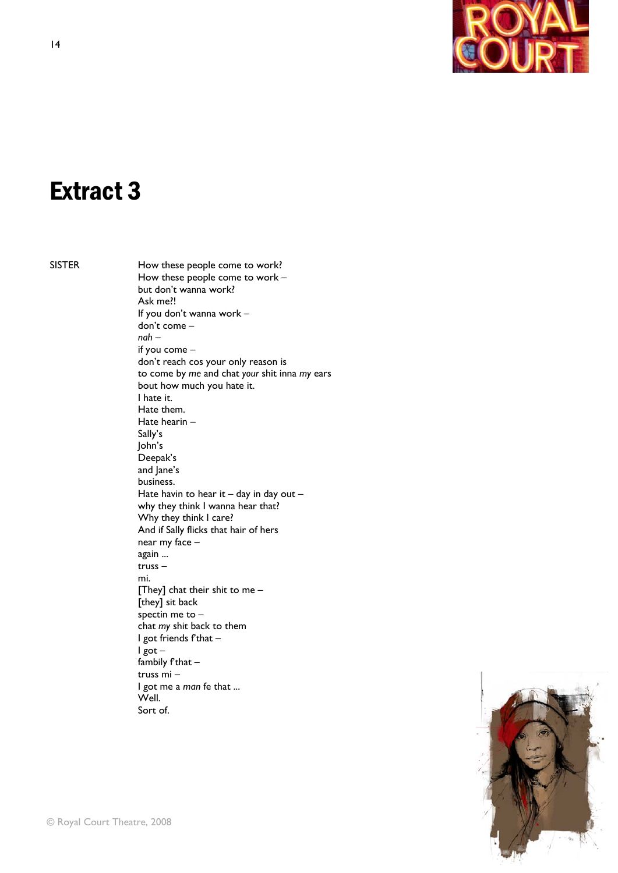

# Extract 3

SISTER How these people come to work? How these people come to work – but don't wanna work? Ask me?! If you don't wanna work – don't come – *nah* – if you come – don't reach cos your only reason is to come by *me* and chat *your* shit inna *my* ears bout how much you hate it. I hate it. Hate them. Hate hearin – Sally's John's Deepak's and Jane's business. Hate havin to hear it  $-$  day in day out  $$  why they think I wanna hear that? Why they think I care? And if Sally flicks that hair of hers near my face – again ... truss – mi. [They] chat their shit to me – [they] sit back spectin me to – chat *my* shit back to them I got friends f'that – I got – fambily  $f$ that  $$  truss mi – I got me a *man* fe that ... Well. Sort of.

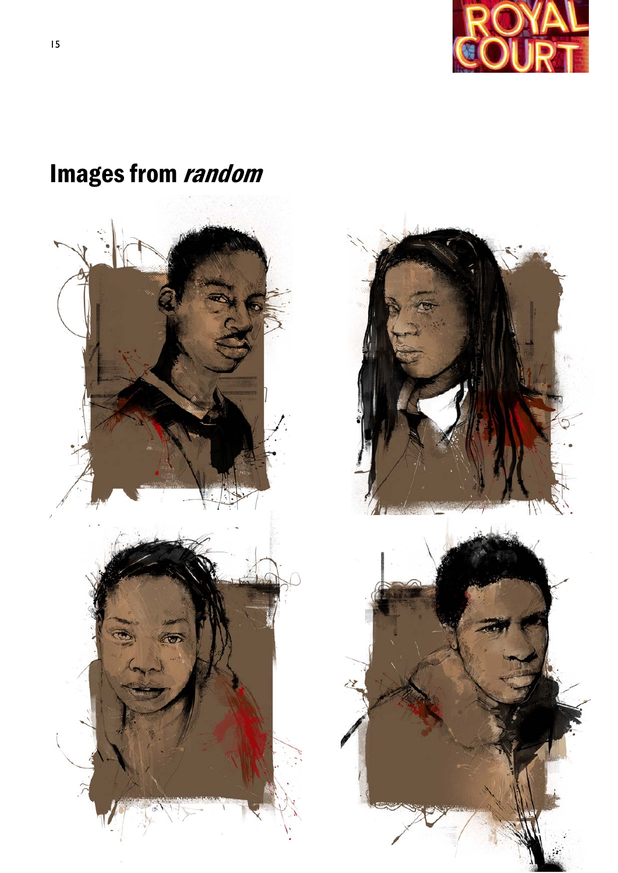

# Images from random